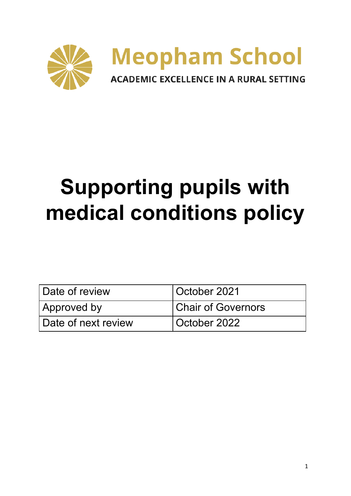

# **Supporting pupils with medical conditions policy**

| Date of review      | October 2021              |
|---------------------|---------------------------|
| Approved by         | <b>Chair of Governors</b> |
| Date of next review | October 2022              |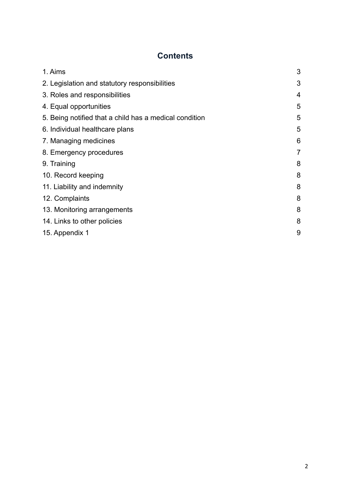# **Contents**

| 1. Aims                                                | 3 |
|--------------------------------------------------------|---|
| 2. Legislation and statutory responsibilities          | 3 |
| 3. Roles and responsibilities                          | 4 |
| 4. Equal opportunities                                 | 5 |
| 5. Being notified that a child has a medical condition | 5 |
| 6. Individual healthcare plans                         | 5 |
| 7. Managing medicines                                  | 6 |
| 8. Emergency procedures                                | 7 |
| 9. Training                                            | 8 |
| 10. Record keeping                                     | 8 |
| 11. Liability and indemnity                            | 8 |
| 12. Complaints                                         | 8 |
| 13. Monitoring arrangements                            | 8 |
| 14. Links to other policies                            | 8 |
| 15. Appendix 1                                         | 9 |
|                                                        |   |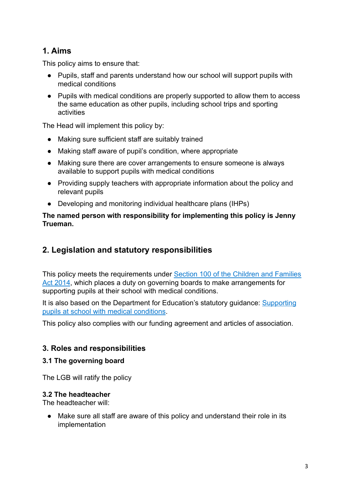# **1. Aims**

This policy aims to ensure that:

- Pupils, staff and parents understand how our school will support pupils with medical conditions
- Pupils with medical conditions are properly supported to allow them to access the same education as other pupils, including school trips and sporting activities

The Head will implement this policy by:

- Making sure sufficient staff are suitably trained
- Making staff aware of pupil's condition, where appropriate
- Making sure there are cover arrangements to ensure someone is always available to support pupils with medical conditions
- Providing supply teachers with appropriate information about the policy and relevant pupils
- Developing and monitoring individual healthcare plans (IHPs)

#### **The named person with responsibility for implementing this policy is Jenny Trueman.**

## **2. Legislation and statutory responsibilities**

This policy meets the requirements under Section 100 [of the Children and Families](http://www.legislation.gov.uk/ukpga/2014/6/part/5/crossheading/pupils-with-medical-conditions) [Act 2014](http://www.legislation.gov.uk/ukpga/2014/6/part/5/crossheading/pupils-with-medical-conditions), which places a duty on governing boards to make arrangements for supporting pupils at their school with medical conditions.

It is also based on the Department for Education's statutory guidance: [Supporting](https://www.gov.uk/government/uploads/system/uploads/attachment_data/file/484418/supporting-pupils-at-school-with-medical-conditions.pdf) [pupils at school with medical conditions](https://www.gov.uk/government/uploads/system/uploads/attachment_data/file/484418/supporting-pupils-at-school-with-medical-conditions.pdf).

This policy also complies with our funding agreement and articles of association.

## **3. Roles and responsibilities**

#### **3.1 The governing board**

The LGB will ratify the policy

#### **3.2 The headteacher**

The headteacher will:

• Make sure all staff are aware of this policy and understand their role in its implementation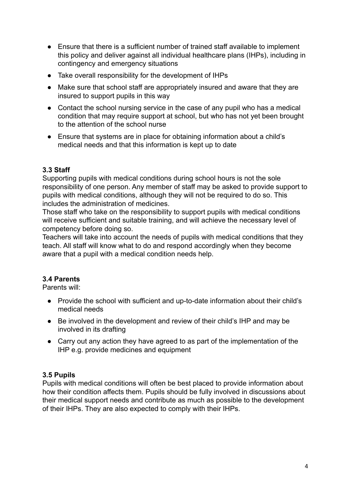- Ensure that there is a sufficient number of trained staff available to implement this policy and deliver against all individual healthcare plans (IHPs), including in contingency and emergency situations
- Take overall responsibility for the development of IHPs
- Make sure that school staff are appropriately insured and aware that they are insured to support pupils in this way
- Contact the school nursing service in the case of any pupil who has a medical condition that may require support at school, but who has not yet been brought to the attention of the school nurse
- Ensure that systems are in place for obtaining information about a child's medical needs and that this information is kept up to date

## **3.3 Staff**

Supporting pupils with medical conditions during school hours is not the sole responsibility of one person. Any member of staff may be asked to provide support to pupils with medical conditions, although they will not be required to do so. This includes the administration of medicines.

Those staff who take on the responsibility to support pupils with medical conditions will receive sufficient and suitable training, and will achieve the necessary level of competency before doing so.

Teachers will take into account the needs of pupils with medical conditions that they teach. All staff will know what to do and respond accordingly when they become aware that a pupil with a medical condition needs help.

## **3.4 Parents**

Parents will:

- Provide the school with sufficient and up-to-date information about their child's medical needs
- Be involved in the development and review of their child's IHP and may be involved in its drafting
- Carry out any action they have agreed to as part of the implementation of the IHP e.g. provide medicines and equipment

#### **3.5 Pupils**

Pupils with medical conditions will often be best placed to provide information about how their condition affects them. Pupils should be fully involved in discussions about their medical support needs and contribute as much as possible to the development of their IHPs. They are also expected to comply with their IHPs.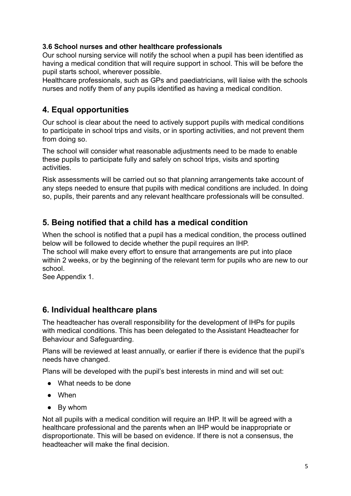### **3.6 School nurses and other healthcare professionals**

Our school nursing service will notify the school when a pupil has been identified as having a medical condition that will require support in school. This will be before the pupil starts school, wherever possible.

Healthcare professionals, such as GPs and paediatricians, will liaise with the schools nurses and notify them of any pupils identified as having a medical condition.

## **4. Equal opportunities**

Our school is clear about the need to actively support pupils with medical conditions to participate in school trips and visits, or in sporting activities, and not prevent them from doing so.

The school will consider what reasonable adjustments need to be made to enable these pupils to participate fully and safely on school trips, visits and sporting activities.

Risk assessments will be carried out so that planning arrangements take account of any steps needed to ensure that pupils with medical conditions are included. In doing so, pupils, their parents and any relevant healthcare professionals will be consulted.

## **5. Being notified that a child has a medical condition**

When the school is notified that a pupil has a medical condition, the process outlined below will be followed to decide whether the pupil requires an IHP.

The school will make every effort to ensure that arrangements are put into place within 2 weeks, or by the beginning of the relevant term for pupils who are new to our school.

See Appendix 1.

## **6. Individual healthcare plans**

The headteacher has overall responsibility for the development of IHPs for pupils with medical conditions. This has been delegated to the Assistant Headteacher for Behaviour and Safeguarding.

Plans will be reviewed at least annually, or earlier if there is evidence that the pupil's needs have changed.

Plans will be developed with the pupil's best interests in mind and will set out:

- What needs to be done
- When
- By whom

Not all pupils with a medical condition will require an IHP. It will be agreed with a healthcare professional and the parents when an IHP would be inappropriate or disproportionate. This will be based on evidence. If there is not a consensus, the headteacher will make the final decision.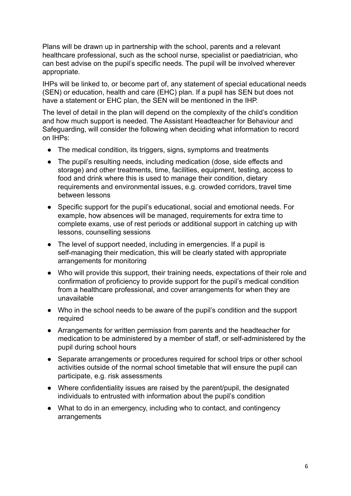Plans will be drawn up in partnership with the school, parents and a relevant healthcare professional, such as the school nurse, specialist or paediatrician, who can best advise on the pupil's specific needs. The pupil will be involved wherever appropriate.

IHPs will be linked to, or become part of, any statement of special educational needs (SEN) or education, health and care (EHC) plan. If a pupil has SEN but does not have a statement or EHC plan, the SEN will be mentioned in the IHP.

The level of detail in the plan will depend on the complexity of the child's condition and how much support is needed. The Assistant Headteacher for Behaviour and Safeguarding, will consider the following when deciding what information to record on IHPs:

- The medical condition, its triggers, signs, symptoms and treatments
- The pupil's resulting needs, including medication (dose, side effects and storage) and other treatments, time, facilities, equipment, testing, access to food and drink where this is used to manage their condition, dietary requirements and environmental issues, e.g. crowded corridors, travel time between lessons
- Specific support for the pupil's educational, social and emotional needs. For example, how absences will be managed, requirements for extra time to complete exams, use of rest periods or additional support in catching up with lessons, counselling sessions
- The level of support needed, including in emergencies. If a pupil is self-managing their medication, this will be clearly stated with appropriate arrangements for monitoring
- Who will provide this support, their training needs, expectations of their role and confirmation of proficiency to provide support for the pupil's medical condition from a healthcare professional, and cover arrangements for when they are unavailable
- Who in the school needs to be aware of the pupil's condition and the support required
- Arrangements for written permission from parents and the headteacher for medication to be administered by a member of staff, or self-administered by the pupil during school hours
- Separate arrangements or procedures required for school trips or other school activities outside of the normal school timetable that will ensure the pupil can participate, e.g. risk assessments
- Where confidentiality issues are raised by the parent/pupil, the designated individuals to entrusted with information about the pupil's condition
- What to do in an emergency, including who to contact, and contingency arrangements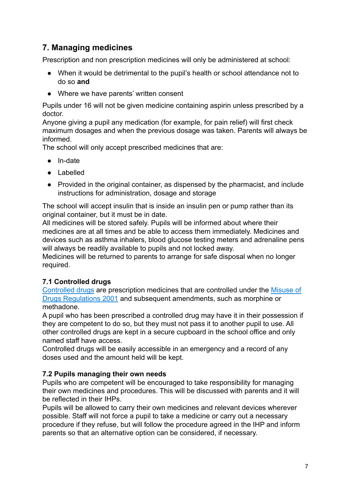# **7. Managing medicines**

Prescription and non prescription medicines will only be administered at school:

- When it would be detrimental to the pupil's health or school attendance not to do so **and**
- Where we have parents' written consent

Pupils under 16 will not be given medicine containing aspirin unless prescribed by a doctor.

Anyone giving a pupil any medication (for example, for pain relief) will first check maximum dosages and when the previous dosage was taken. Parents will always be informed.

The school will only accept prescribed medicines that are:

- In-date
- Labelled
- Provided in the original container, as dispensed by the pharmacist, and include instructions for administration, dosage and storage

The school will accept insulin that is inside an insulin pen or pump rather than its original container, but it must be in date.

All medicines will be stored safely. Pupils will be informed about where their medicines are at all times and be able to access them immediately. Medicines and devices such as asthma inhalers, blood glucose testing meters and adrenaline pens will always be readily available to pupils and not locked away.

Medicines will be returned to parents to arrange for safe disposal when no longer required.

## **7.1 Controlled drugs**

[Controlled drugs](http://www.nhs.uk/chq/Pages/1391.aspx?CategoryID=73) are prescription medicines that are controlled under the [Misuse of](http://www.legislation.gov.uk/uksi/2001/3998/schedule/1/made) [Drugs Regulations 2001](http://www.legislation.gov.uk/uksi/2001/3998/schedule/1/made) and subsequent amendments, such as morphine or methadone.

A pupil who has been prescribed a controlled drug may have it in their possession if they are competent to do so, but they must not pass it to another pupil to use. All other controlled drugs are kept in a secure cupboard in the school office and only named staff have access.

Controlled drugs will be easily accessible in an emergency and a record of any doses used and the amount held will be kept.

#### **7.2 Pupils managing their own needs**

Pupils who are competent will be encouraged to take responsibility for managing their own medicines and procedures. This will be discussed with parents and it will be reflected in their IHPs.

Pupils will be allowed to carry their own medicines and relevant devices wherever possible. Staff will not force a pupil to take a medicine or carry out a necessary procedure if they refuse, but will follow the procedure agreed in the IHP and inform parents so that an alternative option can be considered, if necessary.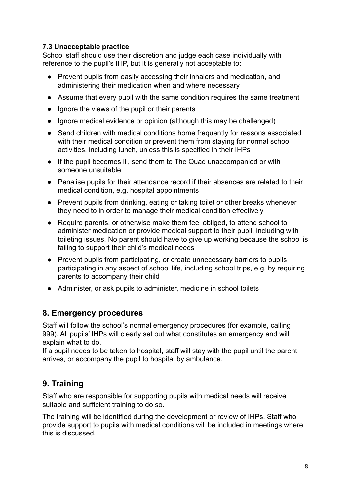## **7.3 Unacceptable practice**

School staff should use their discretion and judge each case individually with reference to the pupil's IHP, but it is generally not acceptable to:

- Prevent pupils from easily accessing their inhalers and medication, and administering their medication when and where necessary
- Assume that every pupil with the same condition requires the same treatment
- Ignore the views of the pupil or their parents
- Ignore medical evidence or opinion (although this may be challenged)
- Send children with medical conditions home frequently for reasons associated with their medical condition or prevent them from staving for normal school activities, including lunch, unless this is specified in their IHPs
- If the pupil becomes ill, send them to The Quad unaccompanied or with someone unsuitable
- Penalise pupils for their attendance record if their absences are related to their medical condition, e.g. hospital appointments
- Prevent pupils from drinking, eating or taking toilet or other breaks whenever they need to in order to manage their medical condition effectively
- Require parents, or otherwise make them feel obliged, to attend school to administer medication or provide medical support to their pupil, including with toileting issues. No parent should have to give up working because the school is failing to support their child's medical needs
- Prevent pupils from participating, or create unnecessary barriers to pupils participating in any aspect of school life, including school trips, e.g. by requiring parents to accompany their child
- Administer, or ask pupils to administer, medicine in school toilets

# **8. Emergency procedures**

Staff will follow the school's normal emergency procedures (for example, calling 999). All pupils' IHPs will clearly set out what constitutes an emergency and will explain what to do.

If a pupil needs to be taken to hospital, staff will stay with the pupil until the parent arrives, or accompany the pupil to hospital by ambulance.

# **9. Training**

Staff who are responsible for supporting pupils with medical needs will receive suitable and sufficient training to do so.

The training will be identified during the development or review of IHPs. Staff who provide support to pupils with medical conditions will be included in meetings where this is discussed.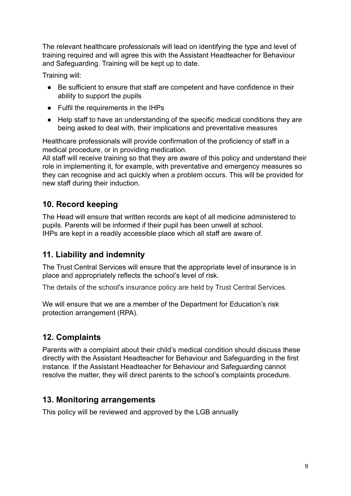The relevant healthcare professionals will lead on identifying the type and level of training required and will agree this with the Assistant Headteacher for Behaviour and Safeguarding. Training will be kept up to date.

Training will:

- Be sufficient to ensure that staff are competent and have confidence in their ability to support the pupils
- Fulfil the requirements in the IHPs
- Help staff to have an understanding of the specific medical conditions they are being asked to deal with, their implications and preventative measures

Healthcare professionals will provide confirmation of the proficiency of staff in a medical procedure, or in providing medication.

All staff will receive training so that they are aware of this policy and understand their role in implementing it, for example, with preventative and emergency measures so they can recognise and act quickly when a problem occurs. This will be provided for new staff during their induction.

# **10. Record keeping**

The Head will ensure that written records are kept of all medicine administered to pupils. Parents will be informed if their pupil has been unwell at school. IHPs are kept in a readily accessible place which all staff are aware of.

# **11. Liability and indemnity**

The Trust Central Services will ensure that the appropriate level of insurance is in place and appropriately reflects the school's level of risk.

The details of the school's insurance policy are held by Trust Central Services.

We will ensure that we are a member of the Department for Education's risk protection arrangement (RPA).

# **12. Complaints**

Parents with a complaint about their child's medical condition should discuss these directly with the Assistant Headteacher for Behaviour and Safeguarding in the first instance. If the Assistant Headteacher for Behaviour and Safeguarding cannot resolve the matter, they will direct parents to the school's complaints procedure.

# **13. Monitoring arrangements**

This policy will be reviewed and approved by the LGB annually